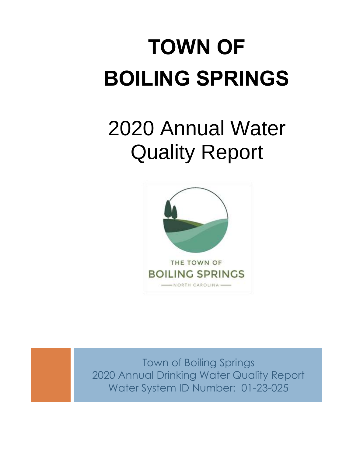# **TOWN OF BOILING SPRINGS**

## 2020 Annual Water Quality Report



Town of Boiling Springs 2020 Annual Drinking Water Quality Report Water System ID Number: 01-23-025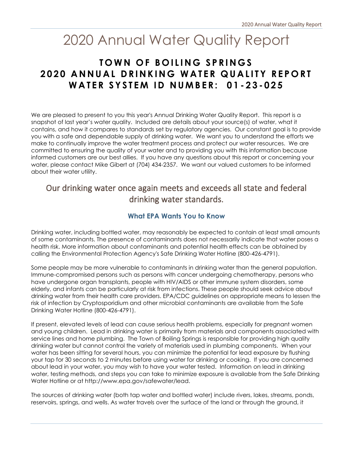## 2020 Annual Water Quality Report

## **TOWN OF BOILING SPRINGS 2020 ANNUAL DRINKING WATER QUALITY REPORT W A T E R S Y S T E M I D N U M B E R : 0 1 - 2 3 - 0 2 5**

We are pleased to present to you this year's Annual Drinking Water Quality Report. This report is a snapshot of last year's water quality. Included are details about your source(s) of water, what it contains, and how it compares to standards set by regulatory agencies. Our constant goal is to provide you with a safe and dependable supply of drinking water. We want you to understand the efforts we make to continually improve the water treatment process and protect our water resources. We are committed to ensuring the quality of your water and to providing you with this information because informed customers are our best allies. If you have any questions about this report or concerning your water, please contact Mike Gibert at (704) 434-2357. We want our valued customers to be informed about their water utility.

## Our drinking water once again meets and exceeds all state and federal drinking water standards.

## **What EPA Wants You to Know**

Drinking water, including bottled water, may reasonably be expected to contain at least small amounts of some contaminants. The presence of contaminants does not necessarily indicate that water poses a health risk. More information about contaminants and potential health effects can be obtained by calling the Environmental Protection Agency's Safe Drinking Water Hotline (800-426-4791).

Some people may be more vulnerable to contaminants in drinking water than the general population. Immune-compromised persons such as persons with cancer undergoing chemotherapy, persons who have undergone organ transplants, people with HIV/AIDS or other immune system disorders, some elderly, and infants can be particularly at risk from infections. These people should seek advice about drinking water from their health care providers. EPA/CDC guidelines on appropriate means to lessen the risk of infection by Cryptosporidium and other microbial contaminants are available from the Safe Drinking Water Hotline (800-426-4791).

If present, elevated levels of lead can cause serious health problems, especially for pregnant women and young children. Lead in drinking water is primarily from materials and components associated with service lines and home plumbing. The Town of Boiling Springs is responsible for providing high quality drinking water but cannot control the variety of materials used in plumbing components. When your water has been sitting for several hours, you can minimize the potential for lead exposure by flushing your tap for 30 seconds to 2 minutes before using water for drinking or cooking. If you are concerned about lead in your water, you may wish to have your water tested. Information on lead in drinking water, testing methods, and steps you can take to minimize exposure is available from the Safe Drinking Water Hotline or at http://www.epa.gov/safewater/lead.

The sources of drinking water (both tap water and bottled water) include rivers, lakes, streams, ponds, reservoirs, springs, and wells. As water travels over the surface of the land or through the ground, it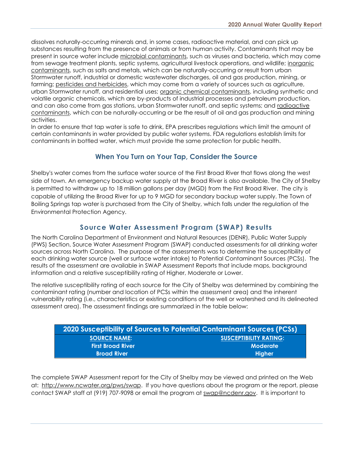dissolves naturally-occurring minerals and, in some cases, radioactive material, and can pick up substances resulting from the presence of animals or from human activity. Contaminants that may be present in source water include microbial contaminants, such as viruses and bacteria, which may come from sewage treatment plants, septic systems, agricultural livestock operations, and wildlife; inorganic contaminants, such as salts and metals, which can be naturally-occurring or result from urban Stormwater runoff, industrial or domestic wastewater discharges, oil and gas production, mining, or farming; pesticides and herbicides, which may come from a variety of sources such as agriculture, urban Stormwater runoff, and residential uses; organic chemical contaminants, including synthetic and volatile organic chemicals, which are by-products of industrial processes and petroleum production, and can also come from gas stations, urban Stormwater runoff, and septic systems; and radioactive contaminants, which can be naturally-occurring or be the result of oil and gas production and mining activities.

In order to ensure that tap water is safe to drink, EPA prescribes regulations which limit the amount of certain contaminants in water provided by public water systems. FDA regulations establish limits for contaminants in bottled water, which must provide the same protection for public health.

## **When You Turn on Your Tap, Consider the Source**

Shelby's water comes from the surface water source of the First Broad River that flows along the west side of town. An emergency backup water supply at the Broad River is also available. The City of Shelby is permitted to withdraw up to 18 million gallons per day (MGD) from the First Broad River. The city is capable of utilizing the Broad River for up to 9 MGD for secondary backup water supply. The Town of Boiling Springs tap water is purchased from the City of Shelby, which falls under the regulation of the Environmental Protection Agency.

### **Source Water Assessment Program (SWAP) Results**

The North Carolina Department of Environment and Natural Resources (DENR), Public Water Supply (PWS) Section, Source Water Assessment Program (SWAP) conducted assessments for all drinking water sources across North Carolina. The purpose of the assessments was to determine the susceptibility of each drinking water source (well or surface water intake) to Potential Contaminant Sources (PCSs). The results of the assessment are available in SWAP Assessment Reports that include maps, background information and a relative susceptibility rating of Higher, Moderate or Lower.

The relative susceptibility rating of each source for the City of Shelby was determined by combining the contaminant rating (number and location of PCSs within the assessment area) and the inherent vulnerability rating (i.e., characteristics or existing conditions of the well or watershed and its delineated assessment area). The assessment findings are summarized in the table below:

| <b>2020 Susceptibility of Sources to Potential Contaminant Sources (PCSs)</b> |                               |
|-------------------------------------------------------------------------------|-------------------------------|
| <b>SOURCE NAME:</b>                                                           | <b>SUSCEPTIBILITY RATING:</b> |
| <b>First Broad River</b>                                                      | <b>Moderate</b>               |
| <b>Broad River</b>                                                            | Hiaher                        |

The complete SWAP Assessment report for the City of Shelby may be viewed and printed on the Web at: http://www.ncwater.org/pws/swap. If you have questions about the program or the report, please contact SWAP staff at (919) 707-9098 or email the program at [swap@ncdenr.gov.](mailto:swap@ncdenr.gov) It is important to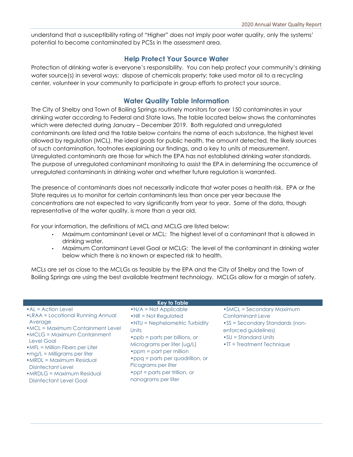understand that a susceptibility rating of "Higher" does not imply poor water quality, only the systems' potential to become contaminated by PCSs in the assessment area.

### **Help Protect Your Source Water**

Protection of drinking water is everyone's responsibility. You can help protect your community's drinking water source(s) in several ways: dispose of chemicals property; take used motor oil to a recycling center, volunteer in your community to participate in group efforts to protect your source.

## **Water Quality Table Information**

The City of Shelby and Town of Boiling Springs routinely monitors for over 150 contaminates in your drinking water according to Federal and State laws. The table located below shows the contaminates which were detected during January – December 2019. Both regulated and unregulated contaminants are listed and the table below contains the name of each substance, the highest level allowed by regulation (MCL), the ideal goals for public health, the amount detected, the likely sources of such contamination, footnotes explaining our findings, and a key to units of measurement. Unregulated contaminants are those for which the EPA has not established drinking water standards. The purpose of unregulated contaminant monitoring to assist the EPA in determining the occurrence of unregulated contaminants in drinking water and whether future regulation is warranted.

The presence of contaminants does not necessarily indicate that water poses a health risk. EPA or the State requires us to monitor for certain contaminants less than once per year because the concentrations are not expected to vary significantly from year to year. Some of the data, though representative of the water quality, is more than a year old.

For your information, the definitions of MCL and MCLG are listed below:

- Maximum contaminant Level or MCL: The highest level of a contaminant that is allowed in drinking water.
- Maximum Contaminant Level Goal or MCLG: The level of the contaminant in drinking water below which there is no known or expected risk to health.

MCLs are set as close to the MCLGs as feasible by the EPA and the City of Shelby and the Town of Boiling Springs are using the best available treatment technology. MCLGs allow for a margin of safety.

|                                                                                                                                                                                                                                                                                                                                                                                       | <b>Key to Table</b>                                                                                                                                                                                                                                                                                                                                                |                                                                                                                                                                                                 |
|---------------------------------------------------------------------------------------------------------------------------------------------------------------------------------------------------------------------------------------------------------------------------------------------------------------------------------------------------------------------------------------|--------------------------------------------------------------------------------------------------------------------------------------------------------------------------------------------------------------------------------------------------------------------------------------------------------------------------------------------------------------------|-------------------------------------------------------------------------------------------------------------------------------------------------------------------------------------------------|
| $\bullet$ AL = Action Level<br>•LRAA = Locational Running Annual<br>Average<br>• MCL = Maximum Containment Level<br>$\bullet$ MCLG = Maximum Containment<br>Level Goal<br>$\bullet$ MFL = Million Fibers per Liter<br>$\cdot$ mg/L = Milligrams per liter<br>$\bullet$ MRDL = Maximum Residual<br>Disinfectant Level<br>$\bullet$ MRDLG = Maximum Residual<br>Disinfectant Level Goal | $\bullet$ N/A = Not Applicable<br>$\bullet$ NR = Not Regulated<br>$\cdot$ NTU = Nephelometric Turbidity<br>Units<br>$\bullet$ ppb = parts per billions, or<br>Micrograms per liter (ug/L)<br>$\bullet$ ppm = part per million<br>$\bullet$ ppq = parts per quadrillion, or<br>Picograms per liter<br>$\bullet$ ppt = parts per trillion, or<br>nanograms per liter | $\bullet$ SMCL = Secondary Maximum<br>Contaminant Leve<br>$\text{-SS}$ = Secondary Standards (non-<br>enforced guidelines)<br>$\bullet$ SU = Standard Units<br>$\cdot$ TT = Treatment Technique |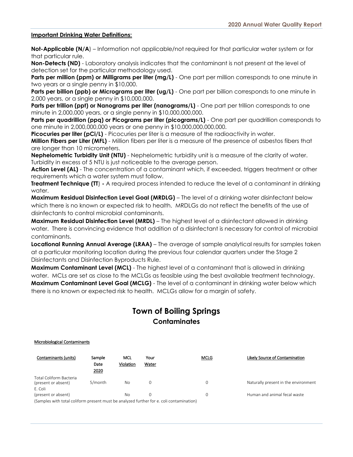#### **Important Drinking Water Definitions:**

**Not-Applicable (N/A)** – Information not applicable/not required for that particular water system or for that particular rule.

**Non-Detects (ND)** - Laboratory analysis indicates that the contaminant is not present at the level of detection set for the particular methodology used.

**Parts per million (ppm) or Milligrams per liter (mg/L)** - One part per million corresponds to one minute in two years or a single penny in \$10,000.

**Parts per billion (ppb) or Micrograms per liter (ug/L)** - One part per billion corresponds to one minute in 2,000 years, or a single penny in \$10,000,000.

**Parts per trillion (ppt) or Nanograms per liter (nanograms/L)** - One part per trillion corresponds to one minute in 2,000,000 years, or a single penny in \$10,000,000,000.

**Parts per quadrillion (ppq) or Picograms per liter (picograms/L)** - One part per quadrillion corresponds to one minute in 2,000,000,000 years or one penny in \$10,000,000,000,000.

**Picocuries per liter (pCi/L)** - Picocuries per liter is a measure of the radioactivity in water.

**Million Fibers per Liter (MFL)** - Million fibers per liter is a measure of the presence of asbestos fibers that are longer than 10 micrometers.

**Nephelometric Turbidity Unit (NTU)** - Nephelometric turbidity unit is a measure of the clarity of water. Turbidity in excess of 5 NTU is just noticeable to the average person.

**Action Level (AL)** - The concentration of a contaminant which, if exceeded, triggers treatment or other requirements which a water system must follow.

**Treatment Technique (TT**) **-** A required process intended to reduce the level of a contaminant in drinking water.

**Maximum Residual Disinfection Level Goal (MRDLG)** – The level of a drinking water disinfectant below which there is no known or expected risk to health. MRDLGs do not reflect the benefits of the use of disinfectants to control microbial contaminants.

**Maximum Residual Disinfection Level (MRDL)** – The highest level of a disinfectant allowed in drinking water. There is convincing evidence that addition of a disinfectant is necessary for control of microbial contaminants.

**Locational Running Annual Average (LRAA)** – The average of sample analytical results for samples taken at a particular monitoring location during the previous four calendar quarters under the Stage 2 Disinfectants and Disinfection Byproducts Rule.

**Maximum Contaminant Level (MCL)** - The highest level of a contaminant that is allowed in drinking water. MCLs are set as close to the MCLGs as feasible using the best available treatment technology. **Maximum Contaminant Level Goal (MCLG)** - The level of a contaminant in drinking water below which there is no known or expected risk to health. MCLGs allow for a margin of safety.

## **Town of Boiling Springs Contaminates**

#### Microbiological Contaminants

| Contaminants (units)                                                                  | Sample<br>Date<br>2020 | MCL<br>Violation | Your<br>Water | <b>MCLG</b> | Likely Source of Contamination       |
|---------------------------------------------------------------------------------------|------------------------|------------------|---------------|-------------|--------------------------------------|
| Total Coliform Bacteria<br>(present or absent)                                        | 5/month                | No               |               |             | Naturally present in the environment |
| E. Coli<br>(present or absent)                                                        |                        | No               |               |             | Human and animal fecal waste         |
| Camples with total coliform procent must be applyed further for a coli contamination) |                        |                  |               |             |                                      |

es with total coliform present must be analyzed further for e. coli contamination)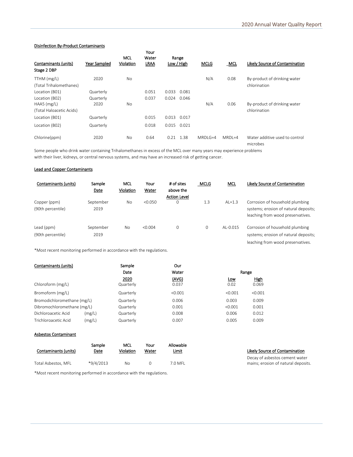#### Disinfection By-Product Contaminants

| Contaminants (units)<br>Stage 2 DBP | Year Sampled | <b>MCL</b><br>Violation | Your<br>Water<br><b>LRAA</b> | Range<br>Low / High | <b>MCLG</b> | MCL        | Likely Source of Contamination             |
|-------------------------------------|--------------|-------------------------|------------------------------|---------------------|-------------|------------|--------------------------------------------|
| TTHM (mg/L)                         | 2020         | <b>No</b>               |                              |                     | N/A         | 0.08       | By-product of drinking water               |
| (Total Trihalomethanes)             |              |                         |                              |                     |             |            | chlorination                               |
| Location (B01)                      | Quarterly    |                         | 0.051                        | 0.033<br>0.081      |             |            |                                            |
| Location (B02)                      | Quarterly    |                         | 0.037                        | 0.024<br>0.046      |             |            |                                            |
| $HAAS$ (mg/L)                       | 2020         | <b>No</b>               |                              |                     | N/A         | 0.06       | By-product of drinking water               |
| (Total Haloacetic Acids)            |              |                         |                              |                     |             |            | chlorination                               |
| Location (B01)                      | Quarterly    |                         | 0.015                        | 0.013<br>0.017      |             |            |                                            |
| Location (B02)                      | Quarterly    |                         | 0.018                        | 0.015<br>0.021      |             |            |                                            |
| Chlorine(ppm)                       | 2020         | <b>No</b>               | 0.64                         | 1.38<br>0.21        | $MRDI$ G=4  | $MRDI = 4$ | Water additive used to control<br>microbes |

Some people who drink water containing Trihalomethanes in excess of the MCL over many years may experience problems with their liver, kidneys, or central nervous systems, and may have an increased risk of getting cancer.

#### Lead and Copper Contaminants

| Contaminants (units)              | Sample<br>Date    | MCL<br>Violation | Your<br>Water | # of sites<br>above the<br><b>Action Level</b> | <b>MCLG</b> | MCL          | Likely Source of Contamination                                                                                |
|-----------------------------------|-------------------|------------------|---------------|------------------------------------------------|-------------|--------------|---------------------------------------------------------------------------------------------------------------|
| Copper (ppm)<br>(90th percentile) | September<br>2019 | No               | < 0.050       | 0                                              | 1.3         | $AL=1.3$     | Corrosion of household plumbing<br>systems; erosion of natural deposits;<br>leaching from wood preservatives. |
| Lead (ppm)<br>(90th percentile)   | September<br>2019 | No               | < 0.004       | $\mathbf 0$                                    | $\mathbf 0$ | $AI - 0.015$ | Corrosion of household plumbing<br>systems; erosion of natural deposits;<br>leaching from wood preservatives. |

\*Most recent monitoring performed in accordance with the regulations.

| Contaminants (units)        |        | Sample    | Our     |         |         |
|-----------------------------|--------|-----------|---------|---------|---------|
|                             |        | Date      | Water   | Range   |         |
|                             |        | 2020      | (AVG)   | Low     | High    |
| Chloroform (mg/L)           |        | Quarterly | 0.037   | 0.02    | 0.069   |
| Bromoform (mg/L)            |        | Quarterly | < 0.001 | < 0.001 | < 0.001 |
| Bromodichloromethane (mg/L) |        | Quarterly | 0.006   | 0.003   | 0.009   |
| Dibromochloromethane (mg/L) |        | Quarterly | 0.001   | < 0.001 | 0.001   |
| Dichloroacetic Acid         | (mg/L) | Quarterly | 0.008   | 0.006   | 0.012   |
| Trichloroacetic Acid        | (mg/L) | Quarterly | 0.007   | 0.005   | 0.009   |

#### Asbestos Contaminant

| Contaminants (units) | Sample      | MCL       | Your             | Allowable |
|----------------------|-------------|-----------|------------------|-----------|
|                      | Date        | Violation | Water            | Limit     |
| Total Asbestos, MFL  | $*9/4/2013$ | No        | $\left( \right)$ | 7.0 MFL   |

\*Most recent monitoring performed in accordance with the regulations.

#### Likely Source of Contamination

Decay of asbestos cement water mains; erosion of natural deposits.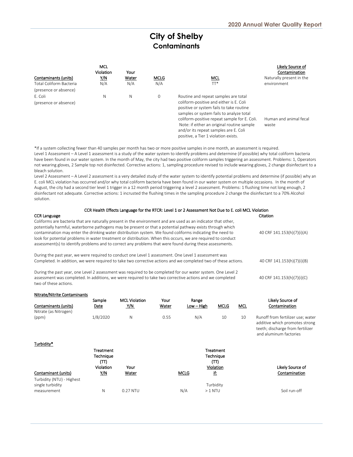## **City of Shelby Contaminants**

| Contaminants (units)<br>Total Coliform Bacteria | <b>MCL</b><br>Violation<br>Y/N<br>N/A | Your<br>Water<br>N/A | MCLG<br>N/A | MCL<br>$\Pi^*$                                                                                                                                                                                                                                                                                                                                         | Likely Source of<br>Contamination<br>Naturally present in the<br>environment |
|-------------------------------------------------|---------------------------------------|----------------------|-------------|--------------------------------------------------------------------------------------------------------------------------------------------------------------------------------------------------------------------------------------------------------------------------------------------------------------------------------------------------------|------------------------------------------------------------------------------|
| (presence or absence)                           |                                       |                      |             |                                                                                                                                                                                                                                                                                                                                                        |                                                                              |
| F. Coli<br>(presence or absence)                | N                                     | N                    | 0           | Routine and repeat samples are total<br>coliform-positive and either is E. Coli<br>positive or system fails to take routine<br>samples or system fails to analyze total<br>coliform-positive repeat sample for E. Coli.<br>Note: if either an original routine sample<br>and/or its repeat samples are E. Coli<br>positive, a Tier 1 violation exists. | Human and animal fecal<br>waste                                              |

\*If a system collecting fewer than 40 samples per month has two or more positive samples in one month, an assessment is required. Level 1 Assessment – A Level 1 assessment is a study of the water system to identify problems and determine (if possible) why total coliform bacteria have been found in our water system. In the month of May, the city had two positive coliform samples triggering an assessment. Problems: 1, Operators not wearing gloves, 2 Sample top not disinfected. Corrective actions: 1, sampling procedure revised to include wearing gloves, 2 change disinfectant to a bleach solution.

Level 2 Assessment – A Level 2 assessment is a very detailed study of the water system to identify potential problems and determine (if possible) why an E. coli MCL violation has occurred and/or why total coliform bacteria have been found in our water system on multiple occasions. In the month of August, the city had a second tier level 1 trigger in a 12 month period triggering a level 2 assessment. Problems: 1 flushing time not long enough, 2 disinfectant not adequate. Corrective actions: 1 incrusted the flushing times in the sampling procedure 2 change the disinfectant to a 70% Alcohol solution.

| CCR Health Effects Language for the RTCR: Level 1 or 2 Assessment Not Due to E. coli MCL Violation                                                                                                                                                                                                                                                                                                                                                                                                                                                                  |                            |  |  |  |  |
|---------------------------------------------------------------------------------------------------------------------------------------------------------------------------------------------------------------------------------------------------------------------------------------------------------------------------------------------------------------------------------------------------------------------------------------------------------------------------------------------------------------------------------------------------------------------|----------------------------|--|--|--|--|
| <b>CCR Language</b>                                                                                                                                                                                                                                                                                                                                                                                                                                                                                                                                                 | Citation                   |  |  |  |  |
| Coliforms are bacteria that are naturally present in the environment and are used as an indicator that other,<br>potentially harmful, waterborne pathogens may be present or that a potential pathway exists through which<br>contamination may enter the drinking water distribution system. We found coliforms indicating the need to<br>look for potential problems in water treatment or distribution. When this occurs, we are required to conduct<br>assessment(s) to identify problems and to correct any problems that were found during these assessments. | 40 CRF 141.153(h)(7)(i)(A) |  |  |  |  |
| During the past year, we were required to conduct one Level 1 assessment. One Level 1 assessment was<br>Completed. In addition, we were required to take two corrective actions and we completed two of these actions.                                                                                                                                                                                                                                                                                                                                              | 40 CRF 141.153(h)(7)(i)(B) |  |  |  |  |
| During the past year, one Level 2 assessment was required to be completed for our water system. One Level 2<br>assessment was completed. In additions, we were required to take two corrective actions and we completed<br>two of these actions.                                                                                                                                                                                                                                                                                                                    | 40 CRF 141.153(h)(7)(i)(C) |  |  |  |  |

| Nitrate/Nitrite Contaminants                  |                                       |                      |       |              |                                |            |                                                                                                                                   |
|-----------------------------------------------|---------------------------------------|----------------------|-------|--------------|--------------------------------|------------|-----------------------------------------------------------------------------------------------------------------------------------|
|                                               | Sample                                | <b>MCL Violation</b> | Your  | Range        |                                |            | Likely Source of                                                                                                                  |
| Contaminants (units)                          | Date                                  | <u>Y/N</u>           | Water | $Low - High$ | <b>MCLG</b>                    | <b>MCL</b> | Contamination                                                                                                                     |
| Nitrate (as Nitrogen)                         |                                       |                      |       |              |                                |            |                                                                                                                                   |
| (ppm)                                         | 1/8/2020                              | N                    | 0.55  | N/A          | 10                             | 10         | Runoff from fertilizer use; water<br>additive which promotes strong<br>teeth; discharge from fertilizer<br>and aluminum factories |
| Turbidity*                                    |                                       |                      |       |              |                                |            |                                                                                                                                   |
|                                               | <b>Treatment</b><br>Technique<br>(TT) |                      |       |              | Treatment<br>Technique<br>(TT) |            |                                                                                                                                   |
|                                               | Violation                             | Your                 |       |              | Violation                      |            | Likely Source of                                                                                                                  |
| Contaminant (units)                           | Y/N                                   | Water                |       | <b>MCLG</b>  | <u>if:</u>                     |            | Contamination                                                                                                                     |
| Turbidity (NTU) - Highest<br>single turbidity |                                       |                      |       |              | Turbidity                      |            |                                                                                                                                   |
| measurement                                   | N                                     | 0.27 NTU             |       | N/A          | $>1$ NTU                       |            | Soil run-off                                                                                                                      |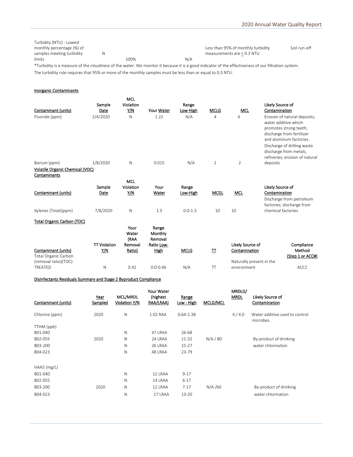| Turbidity (NTU) - Lowest                                                                                                                                                                                                                                                                                                                                                                                                                                  |      |     |                                    |              |
|-----------------------------------------------------------------------------------------------------------------------------------------------------------------------------------------------------------------------------------------------------------------------------------------------------------------------------------------------------------------------------------------------------------------------------------------------------------|------|-----|------------------------------------|--------------|
| monthly percentage (%) of                                                                                                                                                                                                                                                                                                                                                                                                                                 |      |     | Less than 95% of monthly turbidity | Soil run-off |
| samples meeting turbidity                                                                                                                                                                                                                                                                                                                                                                                                                                 |      |     | measurements are $< 0.3$ NTU       |              |
| limits                                                                                                                                                                                                                                                                                                                                                                                                                                                    | 100% | N/A |                                    |              |
| $\mathbf{d}_{\mathbf{r}} = \mathbf{d}_{\mathbf{r}} + \mathbf{d}_{\mathbf{r}} + \mathbf{d}_{\mathbf{r}} + \mathbf{d}_{\mathbf{r}} + \mathbf{d}_{\mathbf{r}} + \mathbf{d}_{\mathbf{r}} + \mathbf{d}_{\mathbf{r}} + \mathbf{d}_{\mathbf{r}} + \mathbf{d}_{\mathbf{r}} + \mathbf{d}_{\mathbf{r}} + \mathbf{d}_{\mathbf{r}} + \mathbf{d}_{\mathbf{r}} + \mathbf{d}_{\mathbf{r}} + \mathbf{d}_{\mathbf{r}} + \mathbf{d}_{\mathbf{r}} + \mathbf{d}_{\mathbf{r}}$ |      |     |                                    |              |

\*Turbidity is a measure of the cloudiness of the water. We monitor it because it is a good indicator of the effectiveness of our filtration system. The turbidity rule requires that 95% or more of the monthly samples must be less than or equal to 0.3 NTU.

#### Inorganic Contaminants

| Violation<br>Sample<br>Range<br><b>MCL</b><br>Contaminant (units)<br>Y/N<br>Your Water<br><b>MCLG</b><br>Low-High<br>Date                                                     | Likely Source of<br>Contamination                                                                                                      |
|-------------------------------------------------------------------------------------------------------------------------------------------------------------------------------|----------------------------------------------------------------------------------------------------------------------------------------|
| 2/4/2020<br>N/A<br>Fluoride (ppm)<br>N<br>1.22<br>4<br>$\overline{4}$                                                                                                         | Erosion of natural deposits;<br>water additive which<br>promotes strong teeth;<br>discharge from fertilizer<br>and aluminum factories. |
| 1/8/2020<br>N<br>N/A<br>$\overline{2}$<br>$\overline{2}$<br>0.015<br>Barium (ppm)                                                                                             | Discharge of drilling waste<br>discharge from metals,<br>refineries; erosion of natural<br>deposits                                    |
| Volatile Organic Chemical (VOC)                                                                                                                                               |                                                                                                                                        |
| Contaminants                                                                                                                                                                  |                                                                                                                                        |
| MCL<br>Violation<br>Sample<br>Your<br>Range<br>Contaminant (units)<br>Y/N<br><b>MCGL</b><br><b>MCL</b><br>Water<br>Low-High<br>Date                                           | Likely Source of<br>Contamination<br>Discharge from petroleum                                                                          |
| Xylenes (Total)(ppm)<br>7/8/2020<br>N<br>1.3<br>$0.0 - 1.3$<br>10<br>10                                                                                                       | factories; discharge from<br>chemical factories                                                                                        |
| <b>Total Organic Carbon (TOC)</b>                                                                                                                                             |                                                                                                                                        |
| Your<br>Range<br>Water<br>Monthly<br>Removal<br>(RAA                                                                                                                          |                                                                                                                                        |
| <b>TT Violation</b><br>Likely Source of<br>Removal<br>Ratio Low-<br>Contaminant (units)<br>Y/N<br><b>MCLG</b><br>Ratio)<br>High<br>π<br>Contamination<br>Total Organic Carbon | Compliance<br>Method<br>(Step 1 or ACC#)                                                                                               |
| (removal ratio)(TOC)-<br>Naturally present in the<br><b>TREATED</b><br>N<br>0.42<br>$0.0 - 0.46$<br>N/A<br>T<br>environment                                                   | ACC <sub>2</sub>                                                                                                                       |

#### Disinfectants Residuals Summary and Stage 2 Byproduct Compliance

| Contaminant (units) | Year<br>Sampled | MCL/MRDL<br>Violation Y/N | Your Water<br>(highest<br>RAA/LRAA) | Range<br>Low - High | MCLG/MCL | MRDLG/<br><b>MRDL</b> | Likely Source of<br>Contamination           |
|---------------------|-----------------|---------------------------|-------------------------------------|---------------------|----------|-----------------------|---------------------------------------------|
| Chlorine (ppm)      | 2020            | $\mathsf{N}$              | 1.02 RAA                            | $0.64 - 1.38$       |          | 4/4.0                 | Water additive used to control<br>microbes. |
| TTHM (ppb)          |                 |                           |                                     |                     |          |                       |                                             |
| B01-040             |                 | N                         | 47 LRAA                             | 26-68               |          |                       |                                             |
| B02-055             | 2020            | N                         | 24 LRAA                             | 11-32               | N/A/80   |                       | By-product of drinking                      |
| B03-200             |                 | N                         | 26 LRAA                             | $15 - 27$           |          |                       | water chlorination                          |
| B04-023             |                 | N                         | 48 LRAA                             | 23-79               |          |                       |                                             |
| $HAAS$ (mg/L)       |                 |                           |                                     |                     |          |                       |                                             |
| B01-040             |                 | N                         | 12 LRAA                             | $9 - 17$            |          |                       |                                             |
| B02-055             |                 | N                         | 14 LRAA                             | $6 - 17$            |          |                       |                                             |
| B03-200             | 2020            | N                         | 12 LRAA                             | $7 - 17$            | N/A/60   |                       | By-product of drinking                      |
| B04-023             |                 | N                         | 17 LRAA                             | $13 - 20$           |          |                       | water chlorination                          |